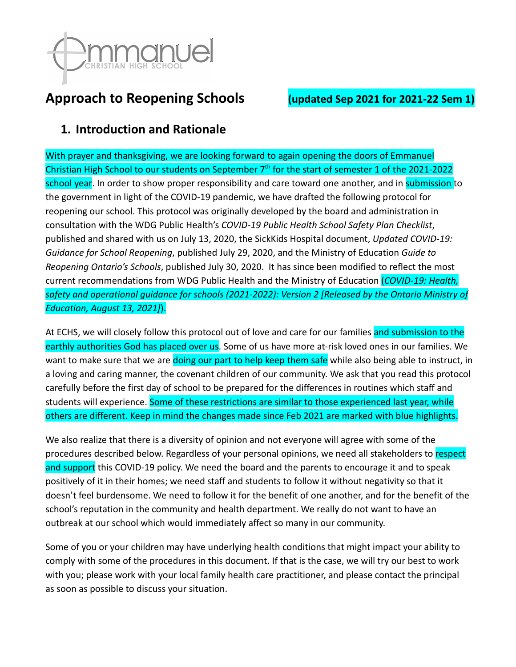

# **Approach to Reopening Schools (updated Sep 2021 for 2021-22 Sem 1)**

## **1. Introduction and Rationale**

With prayer and thanksgiving, we are looking forward to again opening the doors of Emmanuel Christian High School to our students on September 7<sup>th</sup> for the start of semester 1 of the 2021-2022 school year. In order to show proper responsibility and care toward one another, and in submission to the government in light of the COVID-19 pandemic, we have drafted the following protocol for reopening our school. This protocol was originally developed by the board and administration in consultation with the WDG Public Health's *COVID-19 Public Health School Safety Plan Checklist*, published and shared with us on July 13, 2020, the SickKids Hospital document, *Updated COVID-19: Guidance for School Reopening*, published July 29, 2020, and the Ministry of Education *Guide to Reopening Ontario's Schools*, published July 30, 2020. It has since been modified to reflect the most current recommendations from WDG Public Health and the Ministry of Education (*COVID-19: Health, safety and operational guidance for schools (2021-2022): Version 2 [Released by the Ontario Ministry of Education, August 13, 2021]*).

At ECHS, we will closely follow this protocol out of love and care for our families and submission to the earthly authorities God has placed over us. Some of us have more at-risk loved ones in our families. We want to make sure that we are doing our part to help keep them safe while also being able to instruct, in a loving and caring manner, the covenant children of our community. We ask that you read this protocol carefully before the first day of school to be prepared for the differences in routines which staff and students will experience. Some of these restrictions are similar to those experienced last year, while others are different. Keep in mind the changes made since Feb 2021 are marked with blue highlights.

We also realize that there is a diversity of opinion and not everyone will agree with some of the procedures described below. Regardless of your personal opinions, we need all stakeholders to respect and support this COVID-19 policy. We need the board and the parents to encourage it and to speak positively of it in their homes; we need staff and students to follow it without negativity so that it doesn't feel burdensome. We need to follow it for the benefit of one another, and for the benefit of the school's reputation in the community and health department. We really do not want to have an outbreak at our school which would immediately affect so many in our community.

Some of you or your children may have underlying health conditions that might impact your ability to comply with some of the procedures in this document. If that is the case, we will try our best to work with you; please work with your local family health care practitioner, and please contact the principal as soon as possible to discuss your situation.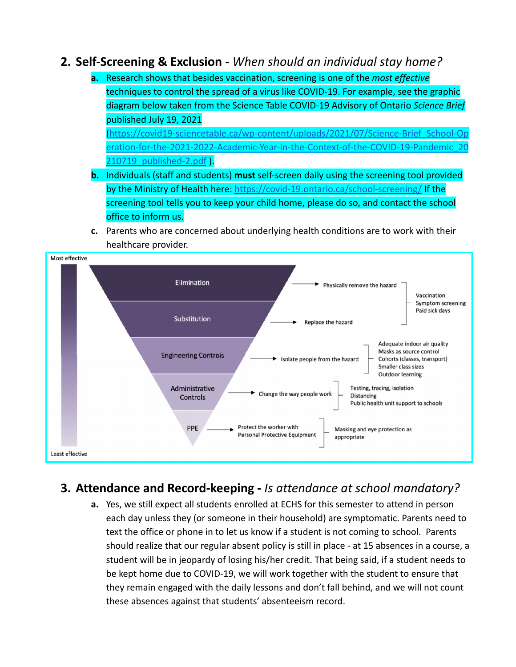### **2. Self-Screening & Exclusion -** *When should an individual stay home?*

**a.** Research shows that besides vaccination, screening is one of the *most effective* techniques to control the spread of a virus like COVID-19. For example, see the graphic diagram below taken from the Science Table COVID-19 Advisory of Ontario *Science Brief* published July 19, 2021

([https://covid19-sciencetable.ca/wp-content/uploads/2021/07/Science-Brief\\_School-Op](https://covid19-sciencetable.ca/wp-content/uploads/2021/07/Science-Brief_School-Operation-for-the-2021-2022-Academic-Year-in-the-Context-of-the-COVID-19-Pandemic_20210719_published-2.pdf) [eration-for-the-2021-2022-Academic-Year-in-the-Context-of-the-COVID-19-Pandemic\\_20](https://covid19-sciencetable.ca/wp-content/uploads/2021/07/Science-Brief_School-Operation-for-the-2021-2022-Academic-Year-in-the-Context-of-the-COVID-19-Pandemic_20210719_published-2.pdf) 210719 published-2.pdf).

- **b.** Individuals (staff and students) **must** self-screen daily using the screening tool provided by the Ministry of Health here: <https://covid-19.ontario.ca/school-screening/> If the screening tool tells you to keep your child home, please do so, and contact the school office to inform us.
- **c.** Parents who are concerned about underlying health conditions are to work with their healthcare provider.



# **3. Attendance and Record-keeping -** *Is attendance at school mandatory?*

**a.** Yes, we still expect all students enrolled at ECHS for this semester to attend in person each day unless they (or someone in their household) are symptomatic. Parents need to text the office or phone in to let us know if a student is not coming to school. Parents should realize that our regular absent policy is still in place - at 15 absences in a course, a student will be in jeopardy of losing his/her credit. That being said, if a student needs to be kept home due to COVID-19, we will work together with the student to ensure that they remain engaged with the daily lessons and don't fall behind, and we will not count these absences against that students' absenteeism record.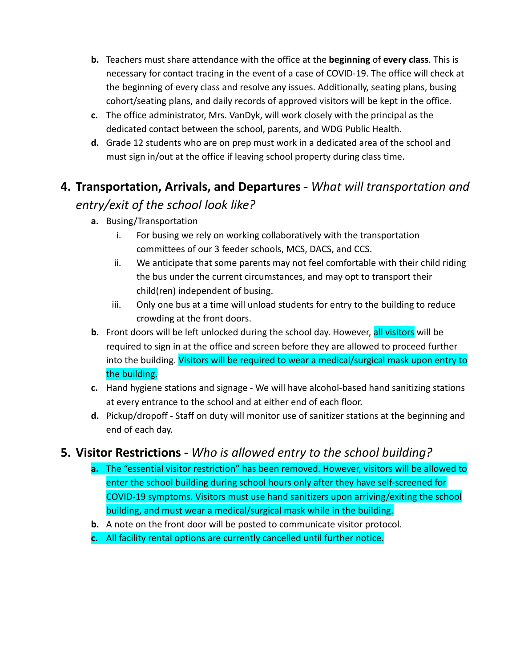- **b.** Teachers must share attendance with the office at the **beginning** of **every class**. This is necessary for contact tracing in the event of a case of COVID-19. The office will check at the beginning of every class and resolve any issues. Additionally, seating plans, busing cohort/seating plans, and daily records of approved visitors will be kept in the office.
- **c.** The office administrator, Mrs. VanDyk, will work closely with the principal as the dedicated contact between the school, parents, and WDG Public Health.
- **d.** Grade 12 students who are on prep must work in a dedicated area of the school and must sign in/out at the office if leaving school property during class time.

# **4. Transportation, Arrivals, and Departures -** *What will transportation and*

# *entry/exit of the school look like?*

- **a.** Busing/Transportation
	- i. For busing we rely on working collaboratively with the transportation committees of our 3 feeder schools, MCS, DACS, and CCS.
	- ii. We anticipate that some parents may not feel comfortable with their child riding the bus under the current circumstances, and may opt to transport their child(ren) independent of busing.
	- iii. Only one bus at a time will unload students for entry to the building to reduce crowding at the front doors.
- **b.** Front doors will be left unlocked during the school day. However, all visitors will be required to sign in at the office and screen before they are allowed to proceed further into the building. Visitors will be required to wear a medical/surgical mask upon entry to the building.
- **c.** Hand hygiene stations and signage We will have alcohol-based hand sanitizing stations at every entrance to the school and at either end of each floor.
- **d.** Pickup/dropoff Staff on duty will monitor use of sanitizer stations at the beginning and end of each day.

# **5. Visitor Restrictions -** *Who is allowed entry to the school building?*

- **a.** The "essential visitor restriction" has been removed. However, visitors will be allowed to enter the school building during school hours only after they have self-screened for COVID-19 symptoms. Visitors must use hand sanitizers upon arriving/exiting the school building, and must wear a medical/surgical mask while in the building.
- **b.** A note on the front door will be posted to communicate visitor protocol.
- **c.** All facility rental options are currently cancelled until further notice.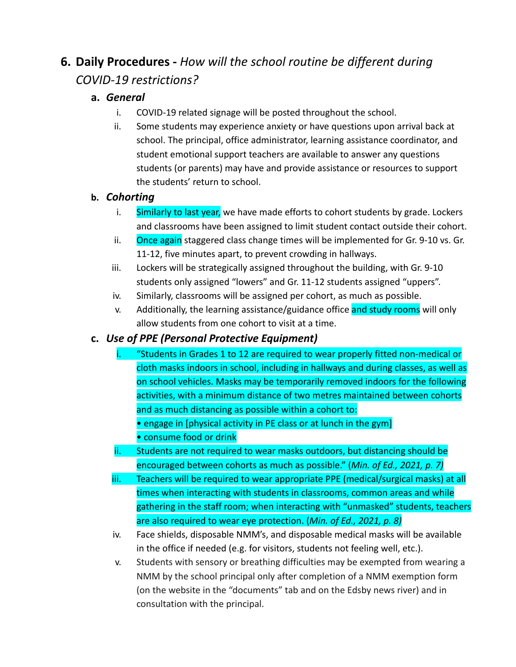# **6. Daily Procedures -** *How will the school routine be different during COVID-19 restrictions?*

#### **a.** *General*

- i. COVID-19 related signage will be posted throughout the school.
- ii. Some students may experience anxiety or have questions upon arrival back at school. The principal, office administrator, learning assistance coordinator, and student emotional support teachers are available to answer any questions students (or parents) may have and provide assistance or resources to support the students' return to school.

#### **b.** *Cohorting*

- i. Similarly to last year, we have made efforts to cohort students by grade. Lockers and classrooms have been assigned to limit student contact outside their cohort.
- ii. Once again staggered class change times will be implemented for Gr. 9-10 vs. Gr. 11-12, five minutes apart, to prevent crowding in hallways.
- iii. Lockers will be strategically assigned throughout the building, with Gr. 9-10 students only assigned "lowers" and Gr. 11-12 students assigned "uppers".
- iv. Similarly, classrooms will be assigned per cohort, as much as possible.
- v. Additionally, the learning assistance/guidance office and study rooms will only allow students from one cohort to visit at a time.

#### **c.** *Use of PPE (Personal Protective Equipment)*

- i. "Students in Grades 1 to 12 are required to wear properly fitted non-medical or cloth masks indoors in school, including in hallways and during classes, as well as on school vehicles. Masks may be temporarily removed indoors for the following activities, with a minimum distance of two metres maintained between cohorts and as much distancing as possible within a cohort to:
	- engage in [physical activity in PE class or at lunch in the gym]
	- consume food or drink
- ii. Students are not required to wear masks outdoors, but distancing should be encouraged between cohorts as much as possible." (*Min. of Ed., 2021, p. 7)*
- iii. Teachers will be required to wear appropriate PPE (medical/surgical masks) at all times when interacting with students in classrooms, common areas and while gathering in the staff room; when interacting with "unmasked" students, teachers are also required to wear eye protection. (*Min. of Ed., 2021, p. 8)*
- iv. Face shields, disposable NMM's, and disposable medical masks will be available in the office if needed (e.g. for visitors, students not feeling well, etc.).
- v. Students with sensory or breathing difficulties may be exempted from wearing a NMM by the school principal only after completion of a NMM exemption form (on the website in the "documents" tab and on the Edsby news river) and in consultation with the principal.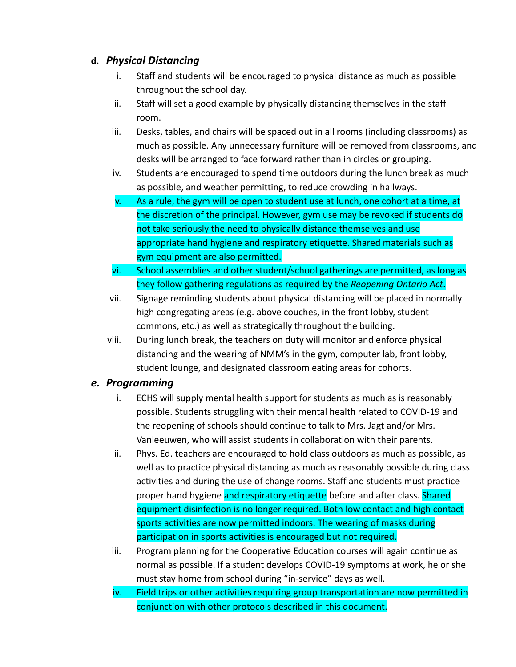#### **d.** *Physical Distancing*

- i. Staff and students will be encouraged to physical distance as much as possible throughout the school day.
- ii. Staff will set a good example by physically distancing themselves in the staff room.
- iii. Desks, tables, and chairs will be spaced out in all rooms (including classrooms) as much as possible. Any unnecessary furniture will be removed from classrooms, and desks will be arranged to face forward rather than in circles or grouping.
- iv. Students are encouraged to spend time outdoors during the lunch break as much as possible, and weather permitting, to reduce crowding in hallways.
- v. As a rule, the gym will be open to student use at lunch, one cohort at a time, at the discretion of the principal. However, gym use may be revoked if students do not take seriously the need to physically distance themselves and use appropriate hand hygiene and respiratory etiquette. Shared materials such as gym equipment are also permitted.
- vi. School assemblies and other student/school gatherings are permitted, as long as they follow gathering regulations as required by the *Reopening Ontario Act*.
- vii. Signage reminding students about physical distancing will be placed in normally high congregating areas (e.g. above couches, in the front lobby, student commons, etc.) as well as strategically throughout the building.
- viii. During lunch break, the teachers on duty will monitor and enforce physical distancing and the wearing of NMM's in the gym, computer lab, front lobby, student lounge, and designated classroom eating areas for cohorts.

#### *e. Programming*

- i. ECHS will supply mental health support for students as much as is reasonably possible. Students struggling with their mental health related to COVID-19 and the reopening of schools should continue to talk to Mrs. Jagt and/or Mrs. Vanleeuwen, who will assist students in collaboration with their parents.
- ii. Phys. Ed. teachers are encouraged to hold class outdoors as much as possible, as well as to practice physical distancing as much as reasonably possible during class activities and during the use of change rooms. Staff and students must practice proper hand hygiene and respiratory etiquette before and after class. Shared equipment disinfection is no longer required. Both low contact and high contact sports activities are now permitted indoors. The wearing of masks during participation in sports activities is encouraged but not required.
- iii. Program planning for the Cooperative Education courses will again continue as normal as possible. If a student develops COVID-19 symptoms at work, he or she must stay home from school during "in-service" days as well.
- iv. Field trips or other activities requiring group transportation are now permitted in conjunction with other protocols described in this document.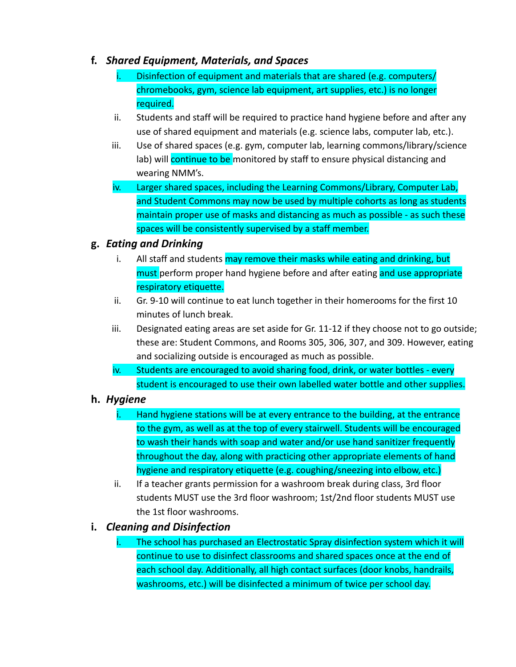#### **f.** *Shared Equipment, Materials, and Spaces*

- Disinfection of equipment and materials that are shared (e.g. computers/ chromebooks, gym, science lab equipment, art supplies, etc.) is no longer required.
- ii. Students and staff will be required to practice hand hygiene before and after any use of shared equipment and materials (e.g. science labs, computer lab, etc.).
- iii. Use of shared spaces (e.g. gym, computer lab, learning commons/library/science lab) will continue to be monitored by staff to ensure physical distancing and wearing NMM's.
- iv. Larger shared spaces, including the Learning Commons/Library, Computer Lab, and Student Commons may now be used by multiple cohorts as long as students maintain proper use of masks and distancing as much as possible - as such these spaces will be consistently supervised by a staff member.

#### **g.** *Eating and Drinking*

- i. All staff and students may remove their masks while eating and drinking, but must perform proper hand hygiene before and after eating and use appropriate respiratory etiquette.
- ii. Gr. 9-10 will continue to eat lunch together in their homerooms for the first 10 minutes of lunch break.
- iii. Designated eating areas are set aside for Gr. 11-12 if they choose not to go outside; these are: Student Commons, and Rooms 305, 306, 307, and 309. However, eating and socializing outside is encouraged as much as possible.
- iv. Students are encouraged to avoid sharing food, drink, or water bottles every student is encouraged to use their own labelled water bottle and other supplies.

#### **h.** *Hygiene*

- Hand hygiene stations will be at every entrance to the building, at the entrance to the gym, as well as at the top of every stairwell. Students will be encouraged to wash their hands with soap and water and/or use hand sanitizer frequently throughout the day, along with practicing other appropriate elements of hand hygiene and respiratory etiquette (e.g. coughing/sneezing into elbow, etc.)
- ii. If a teacher grants permission for a washroom break during class, 3rd floor students MUST use the 3rd floor washroom; 1st/2nd floor students MUST use the 1st floor washrooms.

#### **i.** *Cleaning and Disinfection*

The school has purchased an Electrostatic Spray disinfection system which it will continue to use to disinfect classrooms and shared spaces once at the end of each school day. Additionally, all high contact surfaces (door knobs, handrails, washrooms, etc.) will be disinfected a minimum of twice per school day.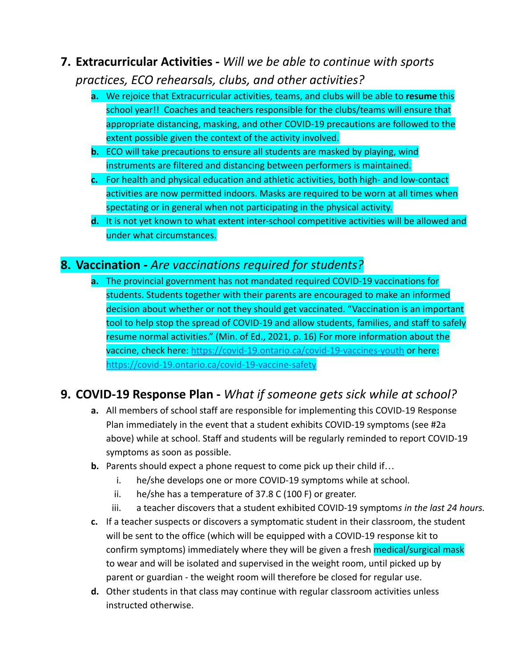# **7. Extracurricular Activities -** *Will we be able to continue with sports practices, ECO rehearsals, clubs, and other activities?*

- **a.** We rejoice that Extracurricular activities, teams, and clubs will be able to **resume** this school year!! Coaches and teachers responsible for the clubs/teams will ensure that appropriate distancing, masking, and other COVID-19 precautions are followed to the extent possible given the context of the activity involved.
- **b.** ECO will take precautions to ensure all students are masked by playing, wind instruments are filtered and distancing between performers is maintained.
- **c.** For health and physical education and athletic activities, both high- and low-contact activities are now permitted indoors. Masks are required to be worn at all times when spectating or in general when not participating in the physical activity.
- **d.** It is not yet known to what extent inter-school competitive activities will be allowed and under what circumstances.

## **8. Vaccination -** *Are vaccinations required for students?*

**a.** The provincial government has not mandated required COVID-19 vaccinations for students. Students together with their parents are encouraged to make an informed decision about whether or not they should get vaccinated. "Vaccination is an important tool to help stop the spread of COVID-19 and allow students, families, and staff to safely resume normal activities." (Min. of Ed., 2021, p. 16) For more information about the vaccine, check here: <https://covid-19.ontario.ca/covid-19-vaccines-youth> or here: <https://covid-19.ontario.ca/covid-19-vaccine-safety>

# **9. COVID-19 Response Plan -** *What if someone gets sick while at school?*

- **a.** All members of school staff are responsible for implementing this COVID-19 Response Plan immediately in the event that a student exhibits COVID-19 symptoms (see #2a above) while at school. Staff and students will be regularly reminded to report COVID-19 symptoms as soon as possible.
- **b.** Parents should expect a phone request to come pick up their child if…
	- i. he/she develops one or more COVID-19 symptoms while at school.
	- ii. he/she has a temperature of 37.8 C (100 F) or greater.
	- iii. a teacher discovers that a student exhibited COVID-19 symptom*s in the last 24 hours.*
- **c.** If a teacher suspects or discovers a symptomatic student in their classroom, the student will be sent to the office (which will be equipped with a COVID-19 response kit to confirm symptoms) immediately where they will be given a fresh **medical/surgical mask** to wear and will be isolated and supervised in the weight room, until picked up by parent or guardian - the weight room will therefore be closed for regular use.
- **d.** Other students in that class may continue with regular classroom activities unless instructed otherwise.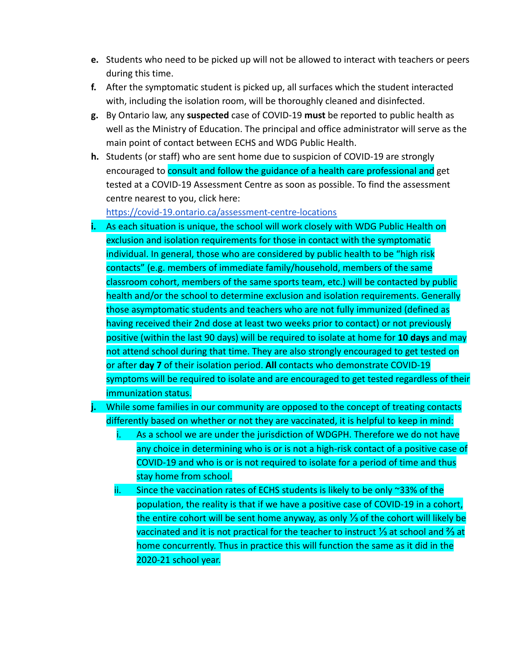- **e.** Students who need to be picked up will not be allowed to interact with teachers or peers during this time.
- **f.** After the symptomatic student is picked up, all surfaces which the student interacted with, including the isolation room, will be thoroughly cleaned and disinfected.
- **g.** By Ontario law, any **suspected** case of COVID-19 **must** be reported to public health as well as the Ministry of Education. The principal and office administrator will serve as the main point of contact between ECHS and WDG Public Health.
- **h.** Students (or staff) who are sent home due to suspicion of COVID-19 are strongly encouraged to consult and follow the guidance of a health care professional and get tested at a COVID-19 Assessment Centre as soon as possible. To find the assessment centre nearest to you, click here:

<https://covid-19.ontario.ca/assessment-centre-locations>

- **i.** As each situation is unique, the school will work closely with WDG Public Health on exclusion and isolation requirements for those in contact with the symptomatic individual. In general, those who are considered by public health to be "high risk contacts" (e.g. members of immediate family/household, members of the same classroom cohort, members of the same sports team, etc.) will be contacted by public health and/or the school to determine exclusion and isolation requirements. Generally those asymptomatic students and teachers who are not fully immunized (defined as having received their 2nd dose at least two weeks prior to contact) or not previously positive (within the last 90 days) will be required to isolate at home for **10 days** and may not attend school during that time. They are also strongly encouraged to get tested on or after **day 7** of their isolation period. **All** contacts who demonstrate COVID-19 symptoms will be required to isolate and are encouraged to get tested regardless of their immunization status.
- **j.** While some families in our community are opposed to the concept of treating contacts differently based on whether or not they are vaccinated, it is helpful to keep in mind:
	- i. As a school we are under the jurisdiction of WDGPH. Therefore we do not have any choice in determining who is or is not a high-risk contact of a positive case of COVID-19 and who is or is not required to isolate for a period of time and thus stay home from school.
	- ii. Since the vaccination rates of ECHS students is likely to be only ~33% of the population, the reality is that if we have a positive case of COVID-19 in a cohort, the entire cohort will be sent home anyway, as only ⅓ of the cohort will likely be vaccinated and it is not practical for the teacher to instruct ⅓ at school and ⅔ at home concurrently. Thus in practice this will function the same as it did in the 2020-21 school year.